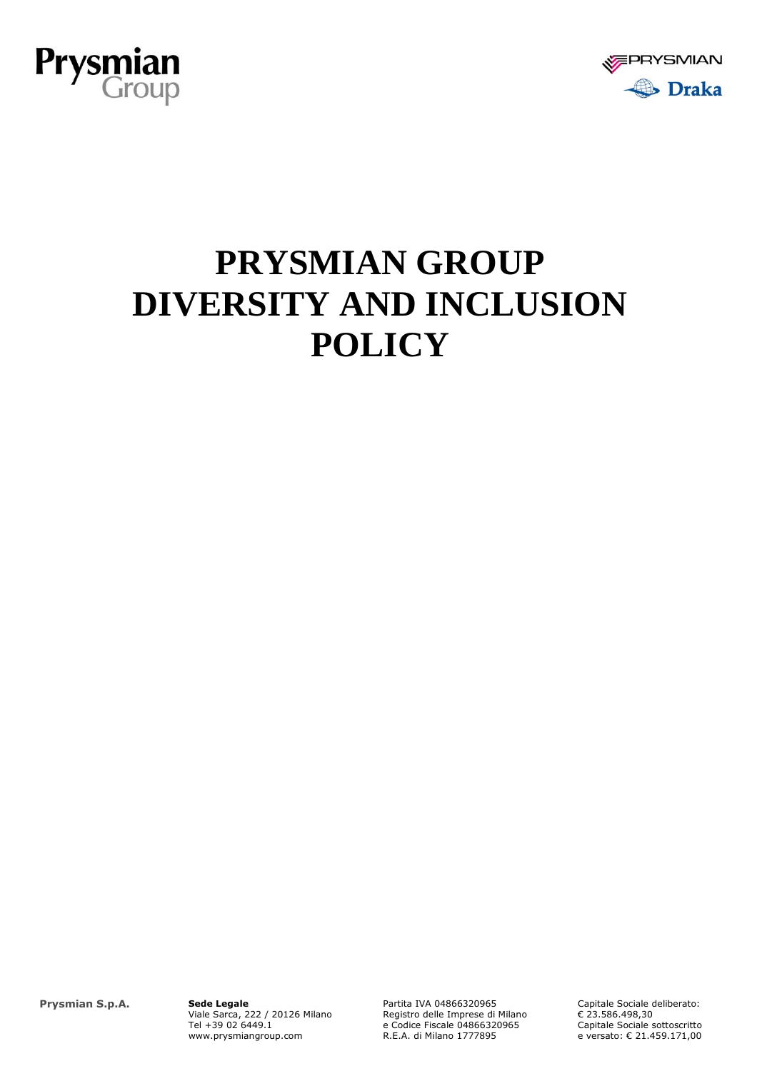



## **PRYSMIAN GROUP DIVERSITY AND INCLUSION POLICY**

**Prysmian S.p.A. Sede Legale**

Viale Sarca, 222 / 20126 Milano Tel +39 02 6449.1 www.prysmiangroup.com

Partita IVA 04866320965 Registro delle Imprese di Milano e Codice Fiscale 04866320965 R.E.A. di Milano 1777895

Capitale Sociale deliberato: € 23.586.498,30 Capitale Sociale sottoscritto e versato: € 21.459.171,00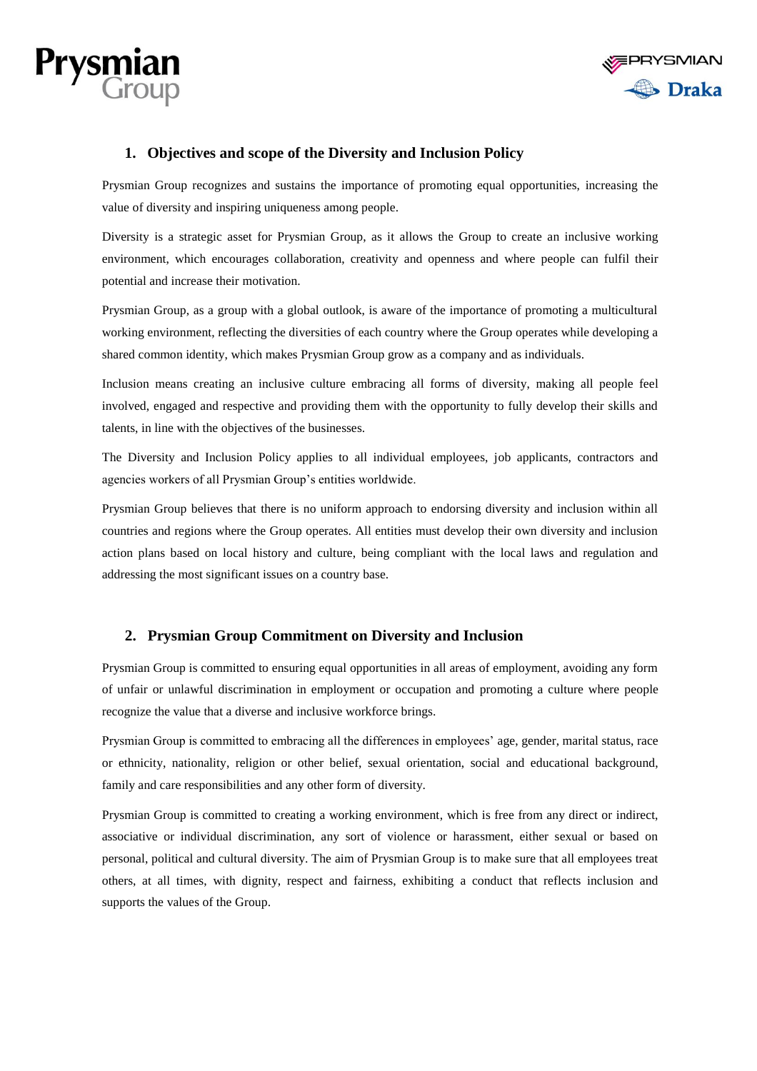



## **1. Objectives and scope of the Diversity and Inclusion Policy**

Prysmian Group recognizes and sustains the importance of promoting equal opportunities, increasing the value of diversity and inspiring uniqueness among people.

Diversity is a strategic asset for Prysmian Group, as it allows the Group to create an inclusive working environment, which encourages collaboration, creativity and openness and where people can fulfil their potential and increase their motivation.

Prysmian Group, as a group with a global outlook, is aware of the importance of promoting a multicultural working environment, reflecting the diversities of each country where the Group operates while developing a shared common identity, which makes Prysmian Group grow as a company and as individuals.

Inclusion means creating an inclusive culture embracing all forms of diversity, making all people feel involved, engaged and respective and providing them with the opportunity to fully develop their skills and talents, in line with the objectives of the businesses.

The Diversity and Inclusion Policy applies to all individual employees, job applicants, contractors and agencies workers of all Prysmian Group's entities worldwide.

Prysmian Group believes that there is no uniform approach to endorsing diversity and inclusion within all countries and regions where the Group operates. All entities must develop their own diversity and inclusion action plans based on local history and culture, being compliant with the local laws and regulation and addressing the most significant issues on a country base.

## **2. Prysmian Group Commitment on Diversity and Inclusion**

Prysmian Group is committed to ensuring equal opportunities in all areas of employment, avoiding any form of unfair or unlawful discrimination in employment or occupation and promoting a culture where people recognize the value that a diverse and inclusive workforce brings.

Prysmian Group is committed to embracing all the differences in employees' age, gender, marital status, race or ethnicity, nationality, religion or other belief, sexual orientation, social and educational background, family and care responsibilities and any other form of diversity.

Prysmian Group is committed to creating a working environment, which is free from any direct or indirect, associative or individual discrimination, any sort of violence or harassment, either sexual or based on personal, political and cultural diversity. The aim of Prysmian Group is to make sure that all employees treat others, at all times, with dignity, respect and fairness, exhibiting a conduct that reflects inclusion and supports the values of the Group.